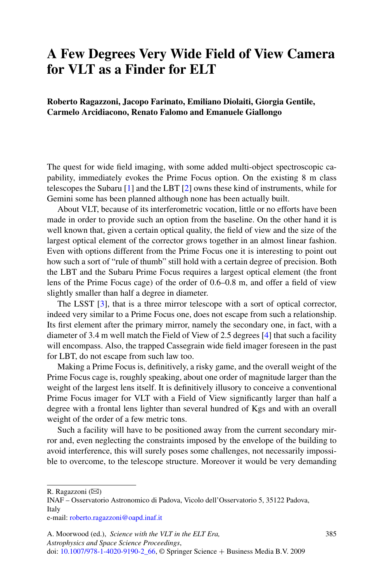## **A Few Degrees Very Wide Field of View Camera for VLT as a Finder for ELT**

**Roberto Ragazzoni, Jacopo Farinato, Emiliano Diolaiti, Giorgia Gentile, Carmelo Arcidiacono, Renato Falomo and Emanuele Giallongo**

The quest for wide field imaging, with some added multi-object spectroscopic capability, immediately evokes the Prime Focus option. On the existing 8 m class telescopes the Subaru [\[1](#page-3-0)] and the LBT [\[2](#page-3-0)] owns these kind of instruments, while for Gemini some has been planned although none has been actually built.

About VLT, because of its interferometric vocation, little or no efforts have been made in order to provide such an option from the baseline. On the other hand it is well known that, given a certain optical quality, the field of view and the size of the largest optical element of the corrector grows together in an almost linear fashion. Even with options different from the Prime Focus one it is interesting to point out how such a sort of "rule of thumb" still hold with a certain degree of precision. Both the LBT and the Subaru Prime Focus requires a largest optical element (the front lens of the Prime Focus cage) of the order of 0.6–0.8 m, and offer a field of view slightly smaller than half a degree in diameter.

The LSST [[3\]](#page-3-0), that is a three mirror telescope with a sort of optical corrector, indeed very similar to a Prime Focus one, does not escape from such a relationship. Its first element after the primary mirror, namely the secondary one, in fact, with a diameter of 3.4 m well match the Field of View of 2.5 degrees [[4\]](#page-3-0) that such a facility will encompass. Also, the trapped Cassegrain wide field imager foreseen in the past for LBT, do not escape from such law too.

Making a Prime Focus is, definitively, a risky game, and the overall weight of the Prime Focus cage is, roughly speaking, about one order of magnitude larger than the weight of the largest lens itself. It is definitively illusory to conceive a conventional Prime Focus imager for VLT with a Field of View significantly larger than half a degree with a frontal lens lighter than several hundred of Kgs and with an overall weight of the order of a few metric tons.

Such a facility will have to be positioned away from the current secondary mirror and, even neglecting the constraints imposed by the envelope of the building to avoid interference, this will surely poses some challenges, not necessarily impossible to overcome, to the telescope structure. Moreover it would be very demanding

R. Ragazzoni ( $\boxtimes$ )

INAF – Osservatorio Astronomico di Padova, Vicolo dell'Osservatorio 5, 35122 Padova, Italy

e-mail: [roberto.ragazzoni@oapd.inaf.it](mailto:roberto.ragazzoni@oapd.inaf.it)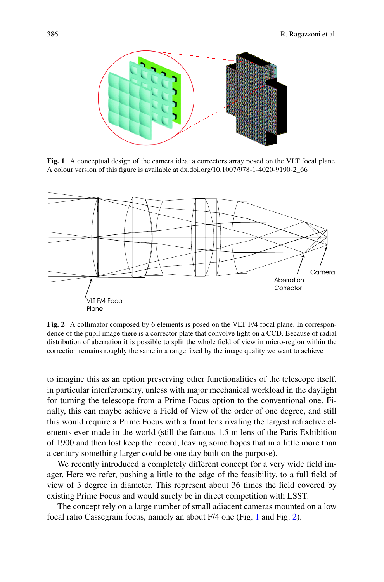

**Fig. 1** A conceptual design of the camera idea: a correctors array posed on the VLT focal plane. A colour version of this figure is available at dx.doi.org/10.1007/978-1-4020-9190-2\_66



**Fig. 2** A collimator composed by 6 elements is posed on the VLT F/4 focal plane. In correspondence of the pupil image there is a corrector plate that convolve light on a CCD. Because of radial distribution of aberration it is possible to split the whole field of view in micro-region within the correction remains roughly the same in a range fixed by the image quality we want to achieve

to imagine this as an option preserving other functionalities of the telescope itself, in particular interferometry, unless with major mechanical workload in the daylight for turning the telescope from a Prime Focus option to the conventional one. Finally, this can maybe achieve a Field of View of the order of one degree, and still this would require a Prime Focus with a front lens rivaling the largest refractive elements ever made in the world (still the famous 1.5 m lens of the Paris Exhibition of 1900 and then lost keep the record, leaving some hopes that in a little more than a century something larger could be one day built on the purpose).

We recently introduced a completely different concept for a very wide field imager. Here we refer, pushing a little to the edge of the feasibility, to a full field of view of 3 degree in diameter. This represent about 36 times the field covered by existing Prime Focus and would surely be in direct competition with LSST.

The concept rely on a large number of small adiacent cameras mounted on a low focal ratio Cassegrain focus, namely an about F/4 one (Fig. 1 and Fig. 2).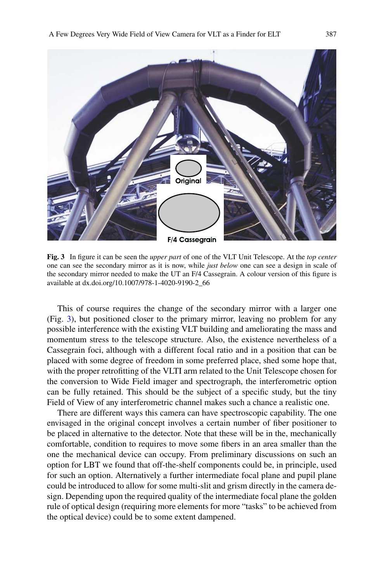

**Fig. 3** In figure it can be seen the *upper part* of one of the VLT Unit Telescope. At the *top center* one can see the secondary mirror as it is now, while *just below* one can see a design in scale of the secondary mirror needed to make the UT an F/4 Cassegrain. A colour version of this figure is available at dx.doi.org/10.1007/978-1-4020-9190-2\_66

This of course requires the change of the secondary mirror with a larger one (Fig. 3), but positioned closer to the primary mirror, leaving no problem for any possible interference with the existing VLT building and ameliorating the mass and momentum stress to the telescope structure. Also, the existence nevertheless of a Cassegrain foci, although with a different focal ratio and in a position that can be placed with some degree of freedom in some preferred place, shed some hope that, with the proper retrofitting of the VLTI arm related to the Unit Telescope chosen for the conversion to Wide Field imager and spectrograph, the interferometric option can be fully retained. This should be the subject of a specific study, but the tiny Field of View of any interferometric channel makes such a chance a realistic one.

There are different ways this camera can have spectroscopic capability. The one envisaged in the original concept involves a certain number of fiber positioner to be placed in alternative to the detector. Note that these will be in the, mechanically comfortable, condition to requires to move some fibers in an area smaller than the one the mechanical device can occupy. From preliminary discussions on such an option for LBT we found that off-the-shelf components could be, in principle, used for such an option. Alternatively a further intermediate focal plane and pupil plane could be introduced to allow for some multi-slit and grism directly in the camera design. Depending upon the required quality of the intermediate focal plane the golden rule of optical design (requiring more elements for more "tasks" to be achieved from the optical device) could be to some extent dampened.